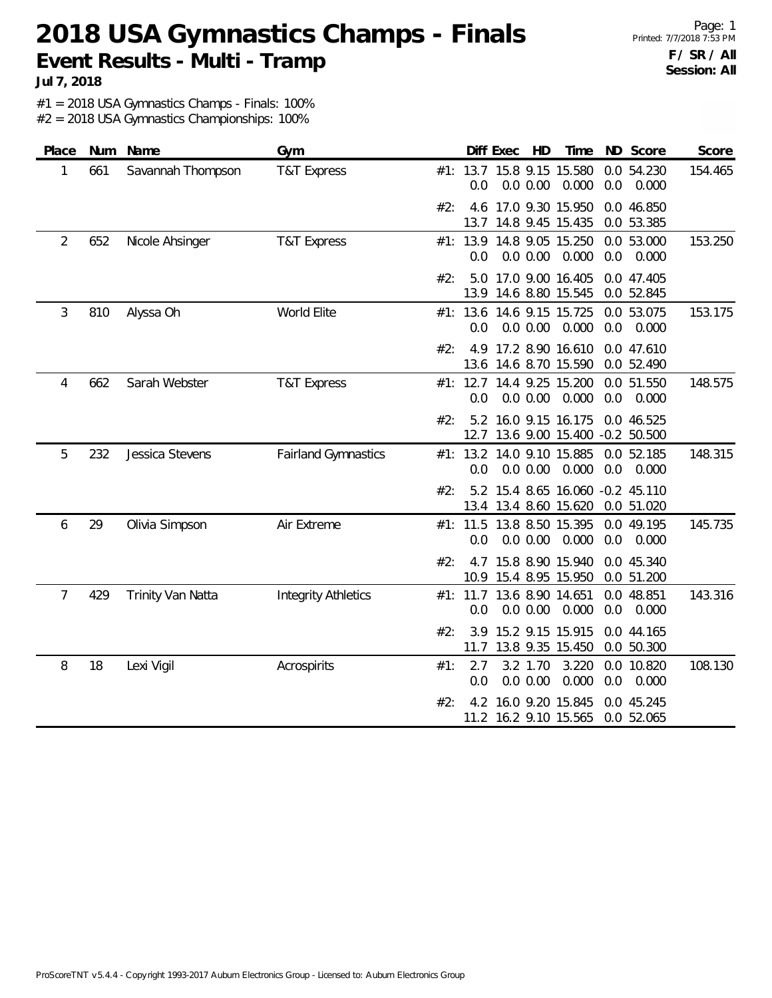### **2018 USA Gymnastics Champs - Finals Event Results - Multi - Tramp**

Page: 1 Printed: 7/7/2018 7:53 PM **F / SR / All Session: All**

**Jul 7, 2018**

#1 = 2018 USA Gymnastics Champs - Finals: 100%

| Place          |     | Num Name          | Gym                        |     |             | Diff Exec HD         | Time                                                      | ND Score                   | Score            |
|----------------|-----|-------------------|----------------------------|-----|-------------|----------------------|-----------------------------------------------------------|----------------------------|------------------|
| 1              | 661 | Savannah Thompson | <b>T&amp;T Express</b>     |     | 0.0         | 0.0 0.00             | #1: 13.7 15.8 9.15 15.580<br>0.000                        | 0.0 54.230<br>0.0          | 154.465<br>0.000 |
|                |     |                   |                            | #2: |             |                      | 4.6 17.0 9.30 15.950<br>13.7 14.8 9.45 15.435             | 0.0 46.850<br>0.0 53.385   |                  |
| $\overline{2}$ | 652 | Nicole Ahsinger   | <b>T&amp;T Express</b>     |     | 0.0         | 0.0 0.00             | #1: 13.9 14.8 9.05 15.250<br>0.000                        | 0.0 53.000<br>0.0          | 153.250<br>0.000 |
|                |     |                   |                            | #2: | 5.0         |                      | 17.0 9.00 16.405<br>13.9 14.6 8.80 15.545                 | 0.0 47.405<br>0.0 52.845   |                  |
| 3              | 810 | Alyssa Oh         | World Elite                |     | 0.0         |                      | #1: 13.6 14.6 9.15 15.725<br>$0.0$ $0.00$ $0.000$         | 0.0 53.075<br>0.0          | 153.175<br>0.000 |
|                |     |                   |                            | #2: | 4.9         |                      | 17.2 8.90 16.610<br>13.6 14.6 8.70 15.590                 | 0.0 47.610<br>0.0 52.490   |                  |
| 4              | 662 | Sarah Webster     | <b>T&amp;T Express</b>     |     | 0.0         | 0.0 0.00             | #1: 12.7 14.4 9.25 15.200<br>0.000                        | 0.0 51.550<br>0.0          | 148.575<br>0.000 |
|                |     |                   |                            | #2: | 5.2         |                      | 16.0 9.15 16.175<br>12.7 13.6 9.00 15.400 -0.2 50.500     | 0.0 46.525                 |                  |
| 5              | 232 | Jessica Stevens   | <b>Fairland Gymnastics</b> |     | 0.0         | 0.0 0.00             | #1: 13.2 14.0 9.10 15.885<br>0.000                        | 0.0 52.185<br>0.0<br>0.000 | 148.315          |
|                |     |                   |                            | #2: |             |                      | 5.2 15.4 8.65 16.060 -0.2 45.110<br>13.4 13.4 8.60 15.620 | 0.0 51.020                 |                  |
| 6              | 29  | Olivia Simpson    | Air Extreme                |     | 0.0         | 0.0 0.00             | #1: 11.5 13.8 8.50 15.395<br>0.000                        | 0.0 49.195<br>0.0          | 145.735<br>0.000 |
|                |     |                   |                            | #2: |             |                      | 4.7 15.8 8.90 15.940<br>10.9 15.4 8.95 15.950             | 0.0 45.340<br>0.0 51.200   |                  |
| $\overline{7}$ | 429 | Trinity Van Natta | <b>Integrity Athletics</b> |     | 0.0         | 0.0 0.00             | #1: 11.7 13.6 8.90 14.651<br>0.000                        | 0.0 48.851<br>0.0          | 143.316<br>0.000 |
|                |     |                   |                            | #2: | 3.9<br>11.7 |                      | 15.2 9.15 15.915<br>13.8 9.35 15.450                      | 0.0 44.165<br>0.0 50.300   |                  |
| 8              | 18  | Lexi Vigil        | Acrospirits                | #1: | 2.7<br>0.0  | 3.2 1.70<br>0.0 0.00 | 3.220<br>0.000                                            | 0.0 10.820<br>0.0          | 108.130<br>0.000 |
|                |     |                   |                            | #2: | 4.2         |                      | 16.0 9.20 15.845<br>11.2 16.2 9.10 15.565                 | 0.0 45.245<br>0.0 52.065   |                  |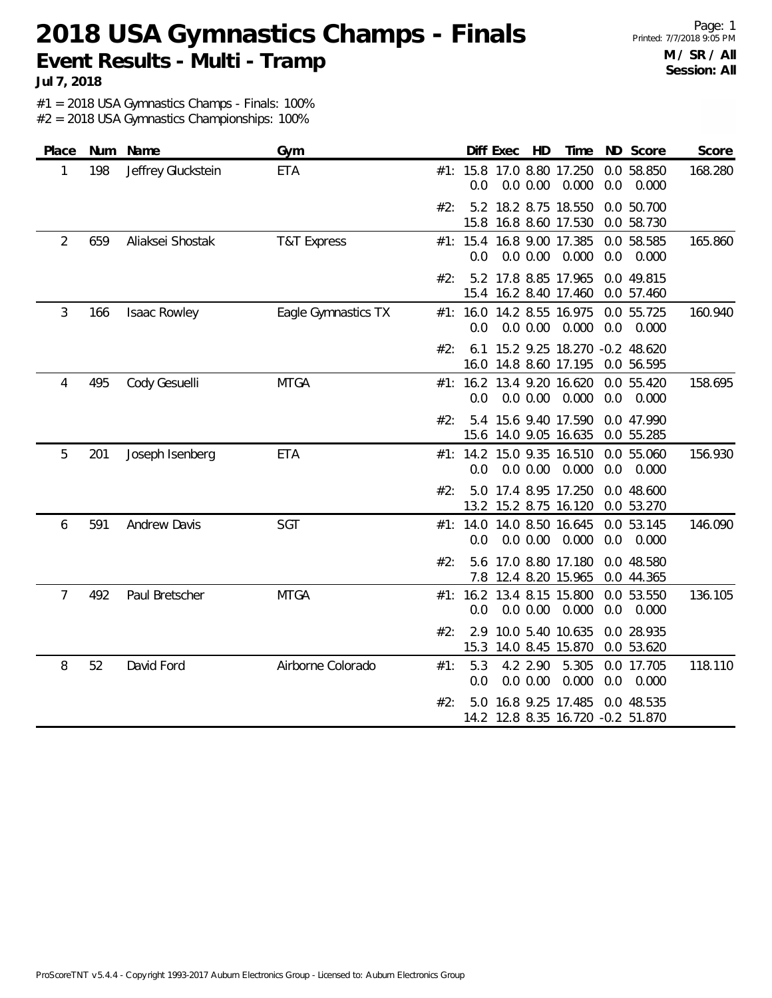**2018 USA Gymnastics Champs - Finals Event Results - Multi - Tramp**

Page: 1 Printed: 7/7/2018 9:05 PM **M / SR / All Session: All**

**Jul 7, 2018**

#1 = 2018 USA Gymnastics Champs - Finals: 100%

| Place |     | Num Name            | Gym                    |     | Diff Exec   | HD                                                                   | Time           |     | ND Score                 | Score   |
|-------|-----|---------------------|------------------------|-----|-------------|----------------------------------------------------------------------|----------------|-----|--------------------------|---------|
| 1     | 198 | Jeffrey Gluckstein  | <b>ETA</b>             |     | 0.0         | #1: 15.8 17.0 8.80 17.250<br>0.0 0.00                                | 0.000          | 0.0 | 0.0 58.850<br>0.000      | 168.280 |
|       |     |                     |                        | #2: |             | 5.2 18.2 8.75 18.550<br>15.8 16.8 8.60 17.530                        |                |     | 0.0 50.700<br>0.0 58.730 |         |
| 2     | 659 | Aliaksei Shostak    | <b>T&amp;T Express</b> |     | 0.0         | #1: 15.4 16.8 9.00 17.385<br>0.0 0.00                                | 0.000          | 0.0 | 0.0 58.585<br>0.000      | 165.860 |
|       |     |                     |                        | #2: |             | 5.2 17.8 8.85 17.965<br>15.4 16.2 8.40 17.460                        |                |     | 0.0 49.815<br>0.0 57.460 |         |
| 3     | 166 | Isaac Rowley        | Eagle Gymnastics TX    |     | 0.0         | #1: 16.0 14.2 8.55 16.975<br>0.0 0.00                                | 0.000          | 0.0 | 0.0 55.725<br>0.000      | 160.940 |
|       |     |                     |                        | #2: |             | 6.1 15.2 9.25 18.270 -0.2 48.620<br>16.0 14.8 8.60 17.195 0.0 56.595 |                |     |                          |         |
| 4     | 495 | Cody Gesuelli       | <b>MTGA</b>            |     | 0.0         | #1: 16.2 13.4 9.20 16.620<br>0.0 0.00                                | 0.000          | 0.0 | 0.0 55.420<br>0.000      | 158.695 |
|       |     |                     |                        | #2: | 5.4         | 15.6 9.40 17.590<br>15.6 14.0 9.05 16.635                            |                |     | 0.0 47.990<br>0.0 55.285 |         |
| 5     | 201 | Joseph Isenberg     | <b>ETA</b>             |     | 0.0         | #1: 14.2 15.0 9.35 16.510<br>0.0 0.00                                | 0.000          | 0.0 | 0.0 55.060<br>0.000      | 156.930 |
|       |     |                     |                        | #2: |             | 5.0 17.4 8.95 17.250<br>13.2 15.2 8.75 16.120                        |                |     | 0.0 48.600<br>0.0 53.270 |         |
| 6     | 591 | <b>Andrew Davis</b> | SGT                    |     | 0.0         | #1: 14.0 14.0 8.50 16.645<br>0.0 0.00                                | 0.000          | 0.0 | 0.0 53.145<br>0.000      | 146.090 |
|       |     |                     |                        | #2: |             | 5.6 17.0 8.80 17.180<br>7.8 12.4 8.20 15.965                         |                |     | 0.0 48.580<br>0.0 44.365 |         |
| 7     | 492 | Paul Bretscher      | <b>MTGA</b>            |     | 0.0         | #1: 16.2 13.4 8.15 15.800<br>$0.0$ $0.00$ $0.000$                    |                | 0.0 | 0.0 53.550<br>0.000      | 136.105 |
|       |     |                     |                        | #2: | 2.9<br>15.3 | 10.0 5.40 10.635<br>14.0 8.45 15.870                                 |                |     | 0.0 28.935<br>0.0 53.620 |         |
| 8     | 52  | David Ford          | Airborne Colorado      | #1: | 5.3<br>0.0  | 4.2 2.90<br>0.0 0.00                                                 | 5.305<br>0.000 | 0.0 | 0.0 17.705<br>0.000      | 118.110 |
|       |     |                     |                        | #2: | 5.0         | 16.8 9.25 17.485<br>14.2 12.8 8.35 16.720 -0.2 51.870                |                |     | 0.0 48.535               |         |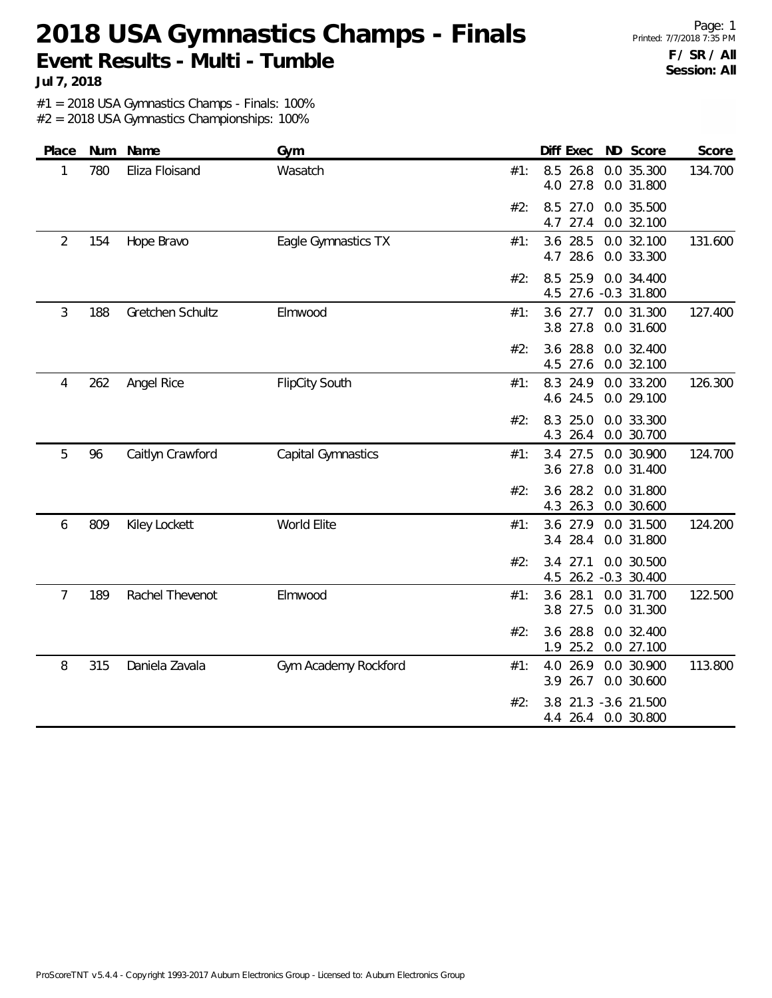**2018 USA Gymnastics Champs - Finals Event Results - Multi - Tumble**

Page: 1 Printed: 7/7/2018 7:35 PM **F / SR / All Session: All**

**Jul 7, 2018**

#1 = 2018 USA Gymnastics Champs - Finals: 100% #2 = 2018 USA Gymnastics Championships: 100%

| Place | Num | Name             | Gym                   |     | Diff Exec                  | ND Score                                | Score   |
|-------|-----|------------------|-----------------------|-----|----------------------------|-----------------------------------------|---------|
| 1     | 780 | Eliza Floisand   | Wasatch               | #1: | 8.5 26.8<br>4.0 27.8       | 0.0 35.300<br>0.0 31.800                | 134.700 |
|       |     |                  |                       | #2: | 27.0<br>8.5<br>27.4<br>4.7 | 0.0 35.500<br>0.0 32.100                |         |
| 2     | 154 | Hope Bravo       | Eagle Gymnastics TX   | #1: | 3.6 28.5<br>28.6<br>4.7    | 0.0 32.100<br>0.0 33.300                | 131.600 |
|       |     |                  |                       | #2: | 25.9<br>8.5<br>4.5         | 0.0 34.400<br>27.6 -0.3 31.800          |         |
| 3     | 188 | Gretchen Schultz | Elmwood               | #1: | $3.6$ 27.7<br>3.8 27.8     | 0.0 31.300<br>0.0 31.600                | 127.400 |
|       |     |                  |                       | #2: | 3.6 28.8<br>4.5<br>27.6    | 0.0 32.400<br>0.0 32.100                |         |
| 4     | 262 | Angel Rice       | <b>FlipCity South</b> | #1: | 8.3 24.9<br>4.6 24.5       | 0.0 33.200<br>0.0 29.100                | 126.300 |
|       |     |                  |                       | #2: | 25.0<br>8.3<br>4.3 26.4    | 0.0 33.300<br>0.0 30.700                |         |
| 5     | 96  | Caitlyn Crawford | Capital Gymnastics    | #1: | 3.4 27.5<br>3.6 27.8       | 0.0 30.900<br>0.0 31.400                | 124.700 |
|       |     |                  |                       | #2: | 28.2<br>3.6<br>4.3 26.3    | 0.0 31.800<br>0.0 30.600                |         |
| 6     | 809 | Kiley Lockett    | World Elite           | #1: | 3.6 27.9<br>28.4<br>3.4    | 0.0 31.500<br>0.0 31.800                | 124.200 |
|       |     |                  |                       | #2: | 27.1<br>3.4                | 0.0 30.500<br>4.5 26.2 -0.3 30.400      |         |
| 7     | 189 | Rachel Thevenot  | Elmwood               | #1: | 28.1<br>3.6<br>3.8 27.5    | 0.0 31.700<br>0.0 31.300                | 122.500 |
|       |     |                  |                       | #2: | 28.8<br>3.6<br>1.9         | 0.0 32.400<br>25.2 0.0 27.100           |         |
| 8     | 315 | Daniela Zavala   | Gym Academy Rockford  | #1: | 26.9<br>4.0<br>26.7<br>3.9 | 0.0 30.900<br>0.0 30.600                | 113.800 |
|       |     |                  |                       | #2: | 3.8                        | 21.3 -3.6 21.500<br>4.4 26.4 0.0 30.800 |         |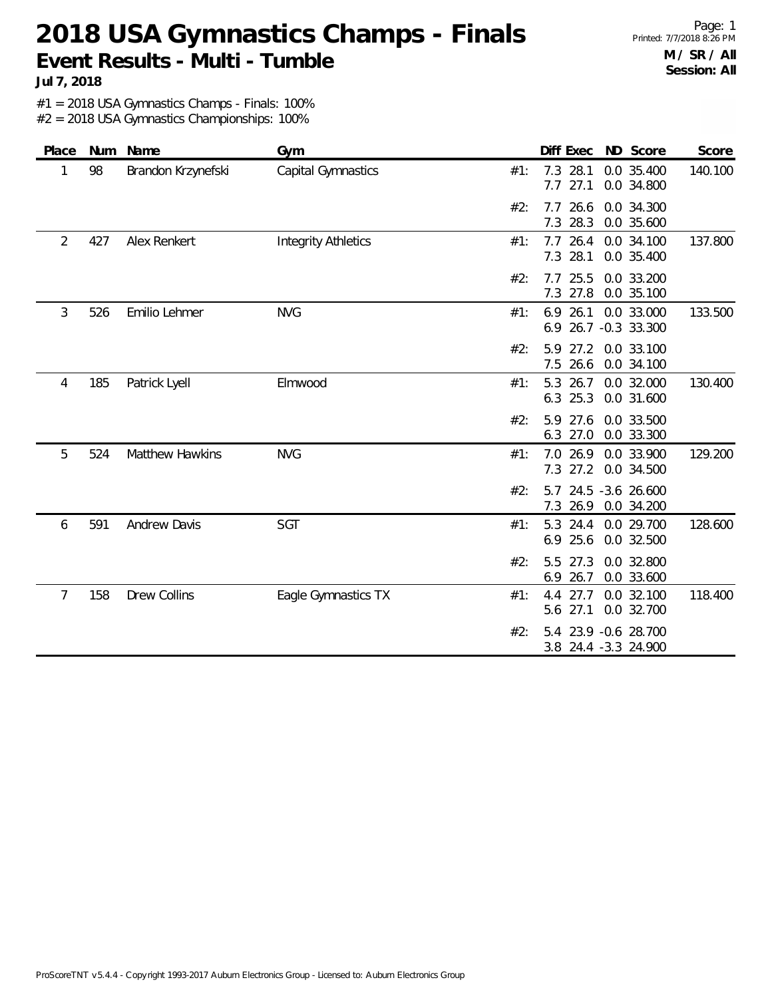# **2018 USA Gymnastics Champs - Finals Event Results - Multi - Tumble**

Page: 1 Printed: 7/7/2018 8:26 PM **M / SR / All Session: All**

**Jul 7, 2018**

#1 = 2018 USA Gymnastics Champs - Finals: 100%

| Place |     | Num Name               | Gym                        |     |                            | Diff Exec ND Score                            | Score   |
|-------|-----|------------------------|----------------------------|-----|----------------------------|-----------------------------------------------|---------|
| 1     | 98  | Brandon Krzynefski     | Capital Gymnastics         | #1: | 7.3 28.1<br>$7.7$ 27.1     | 0.0 35.400<br>0.0 34.800                      | 140.100 |
|       |     |                        |                            | #2: | 26.6<br>7.7<br>7.3 28.3    | 0.0 34.300<br>0.0 35.600                      |         |
| 2     | 427 | Alex Renkert           | <b>Integrity Athletics</b> | #1: | 7.7 26.4<br>7.3 28.1       | 0.0 34.100<br>0.0 35.400                      | 137.800 |
|       |     |                        |                            | #2: | 7.7 25.5<br>7.3 27.8       | 0.0 33.200<br>0.0 35.100                      |         |
| 3     | 526 | Emilio Lehmer          | <b>NVG</b>                 | #1: | $6.9$ 26.1                 | 0.0 33.000<br>6.9 26.7 -0.3 33.300            | 133.500 |
|       |     |                        |                            | #2: | 5.9 27.2<br>7.5 26.6       | 0.0 33.100<br>0.0 34.100                      |         |
| 4     | 185 | Patrick Lyell          | Elmwood                    | #1: | 5.3 26.7<br>6.3 25.3       | 0.0 32.000<br>0.0 31.600                      | 130.400 |
|       |     |                        |                            | #2: | 5.9 27.6<br>6.3 27.0       | 0.0 33.500<br>0.0 33.300                      |         |
| 5     | 524 | <b>Matthew Hawkins</b> | <b>NVG</b>                 | #1: | 7.0 26.9<br>7.3 27.2       | 0.0 33.900<br>0.0 34.500                      | 129.200 |
|       |     |                        |                            | #2: | 7.3<br>26.9                | 5.7 24.5 -3.6 26.600<br>0.0 34.200            |         |
| 6     | 591 | <b>Andrew Davis</b>    | SGT                        | #1: | 24.4<br>5.3<br>6.9<br>25.6 | 0.0 29.700<br>0.0 32.500                      | 128.600 |
|       |     |                        |                            | #2: | 5.5<br>27.3<br>6.9<br>26.7 | 0.0 32.800<br>0.0 33.600                      |         |
| 7     | 158 | <b>Drew Collins</b>    | Eagle Gymnastics TX        | #1: | 27.7<br>4.4<br>27.1<br>5.6 | 0.0 32.100<br>0.0 32.700                      | 118.400 |
|       |     |                        |                            | #2: |                            | 5.4 23.9 - 0.6 28.700<br>3.8 24.4 -3.3 24.900 |         |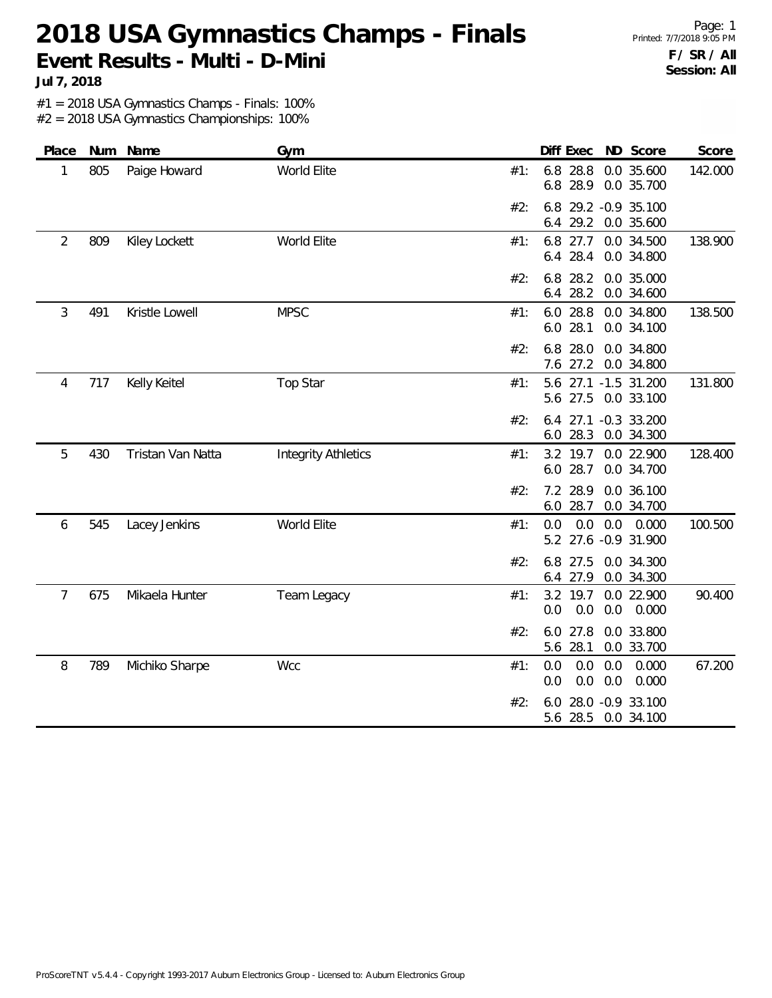#### **2018 USA Gymnastics Champs - Finals Event Results - Multi - D-Mini**

Page: 1 Printed: 7/7/2018 9:05 PM **F / SR / All Session: All**

**Jul 7, 2018**

#1 = 2018 USA Gymnastics Champs - Finals: 100%

| Place          | Num | Name              | Gym                        |     | Diff Exec ND Score                                       | Score   |
|----------------|-----|-------------------|----------------------------|-----|----------------------------------------------------------|---------|
| 1              | 805 | Paige Howard      | World Elite                | #1: | 6.8 28.8<br>0.0 35.600<br>6.8 28.9<br>0.0 35.700         | 142.000 |
|                |     |                   |                            | #2: | 6.8 29.2 -0.9 35.100<br>29.2<br>0.0 35.600<br>6.4        |         |
| $\overline{2}$ | 809 | Kiley Lockett     | World Elite                | #1: | 6.8 27.7<br>0.0 34.500<br>6.4 28.4<br>0.0 34.800         | 138.900 |
|                |     |                   |                            | #2: | 6.8<br>28.2<br>0.0 35.000<br>28.2<br>0.0 34.600<br>6.4   |         |
| 3              | 491 | Kristle Lowell    | <b>MPSC</b>                | #1: | 6.0 28.8<br>0.0 34.800<br>6.0<br>28.1<br>0.0 34.100      | 138.500 |
|                |     |                   |                            | #2: | 6.8<br>28.0<br>0.0 34.800<br>7.6 27.2<br>0.0 34.800      |         |
| 4              | 717 | Kelly Keitel      | <b>Top Star</b>            | #1: | 5.6 27.1 -1.5 31.200<br>5.6 27.5<br>0.0 33.100           | 131.800 |
|                |     |                   |                            | #2: | 27.1 -0.3 33.200<br>6.4<br>6.0 28.3<br>0.0 34.300        |         |
| 5              | 430 | Tristan Van Natta | <b>Integrity Athletics</b> | #1: | 3.2 19.7 0.0 22.900<br>6.0 28.7<br>0.0 34.700            | 128.400 |
|                |     |                   |                            | #2: | 7.2 28.9<br>0.0 36.100<br>28.7<br>0.0 34.700<br>6.0      |         |
| 6              | 545 | Lacey Jenkins     | World Elite                | #1: | 0.0<br>$0.0\quad 0.0$<br>0.000<br>5.2 27.6 -0.9 31.900   | 100.500 |
|                |     |                   |                            | #2: | 27.5<br>0.0 34.300<br>6.8<br>27.9<br>0.0 34.300<br>6.4   |         |
| $\overline{7}$ | 675 | Mikaela Hunter    | Team Legacy                | #1: | 3.2 19.7<br>0.0 22.900<br>0.0<br>0.0<br>0.0<br>0.000     | 90.400  |
|                |     |                   |                            | #2: | 6.0 27.8<br>0.0 33.800<br>28.1<br>0.0 33.700<br>5.6      |         |
| 8              | 789 | Michiko Sharpe    | Wcc                        | #1: | 0.0<br>0.0<br>0.0<br>0.000<br>0.0<br>0.0<br>0.000<br>0.0 | 67.200  |
|                |     |                   |                            | #2: | 28.0 -0.9 33.100<br>6.0<br>5.6 28.5<br>0.0 34.100        |         |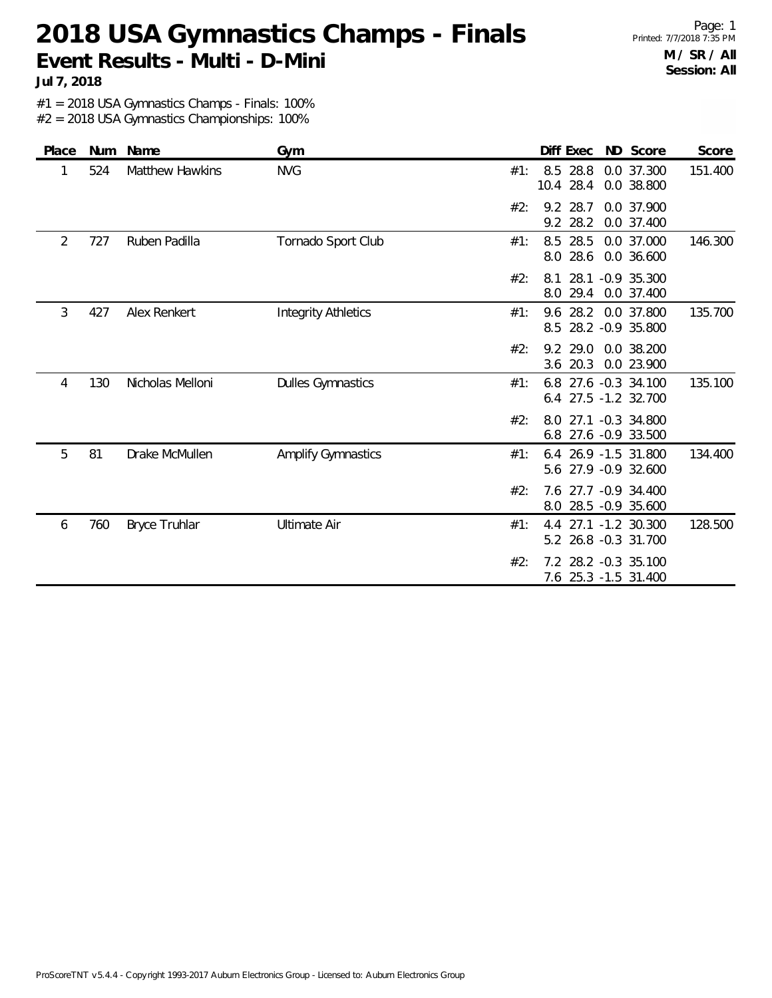#### **2018 USA Gymnastics Champs - Finals Event Results - Multi - D-Mini**

Page: 1 Printed: 7/7/2018 7:35 PM **M / SR / All Session: All**

**Jul 7, 2018**

#1 = 2018 USA Gymnastics Champs - Finals: 100%

| Place | Num | Name                   | Gym                        | Diff Exec<br>ND Score<br>Score                                         |
|-------|-----|------------------------|----------------------------|------------------------------------------------------------------------|
| 1     | 524 | <b>Matthew Hawkins</b> | <b>NVG</b>                 | 28.8<br>8.5<br>0.0 37.300<br>151.400<br>#1:<br>10.4 28.4<br>0.0 38.800 |
|       |     |                        |                            | 28.7<br>0.0 37.900<br>#2:<br>9.2<br>9.2 28.2<br>0.0 37.400             |
| 2     | 727 | Ruben Padilla          | Tornado Sport Club         | 8.5 28.5<br>146.300<br>0.0 37.000<br>#1:<br>28.6<br>0.0 36.600<br>8.0  |
|       |     |                        |                            | 28.1 -0.9 35.300<br>#2:<br>8.1<br>29.4<br>0.0 37.400<br>8.0            |
| 3     | 427 | Alex Renkert           | <b>Integrity Athletics</b> | 9.6 28.2 0.0 37.800<br>135.700<br>#1:<br>28.2 - 0.9 35.800<br>8.5      |
|       |     |                        |                            | 9.2 29.0<br>0.0 38.200<br>#2:<br>20.3<br>3.6<br>0.0 23.900             |
| 4     | 130 | Nicholas Melloni       | <b>Dulles Gymnastics</b>   | 27.6 -0.3 34.100<br>135.100<br>#1:<br>6.8<br>6.4 27.5 -1.2 32.700      |
|       |     |                        |                            | 27.1 -0.3 34.800<br>#2:<br>8.0<br>6.8 27.6 -0.9 33.500                 |
| 5     | 81  | Drake McMullen         | <b>Amplify Gymnastics</b>  | 6.4 26.9 -1.5 31.800<br>134.400<br>#1:<br>5.6 27.9 -0.9 32.600         |
|       |     |                        |                            | 7.6 27.7 -0.9 34.400<br>#2:<br>8.0 28.5 -0.9 35.600                    |
| 6     | 760 | <b>Bryce Truhlar</b>   | <b>Ultimate Air</b>        | 4.4 27.1 -1.2 30.300<br>128.500<br>#1:<br>5.2 26.8 -0.3 31.700         |
|       |     |                        |                            | 7.2 28.2 -0.3 35.100<br>#2:<br>7.6 25.3 -1.5 31.400                    |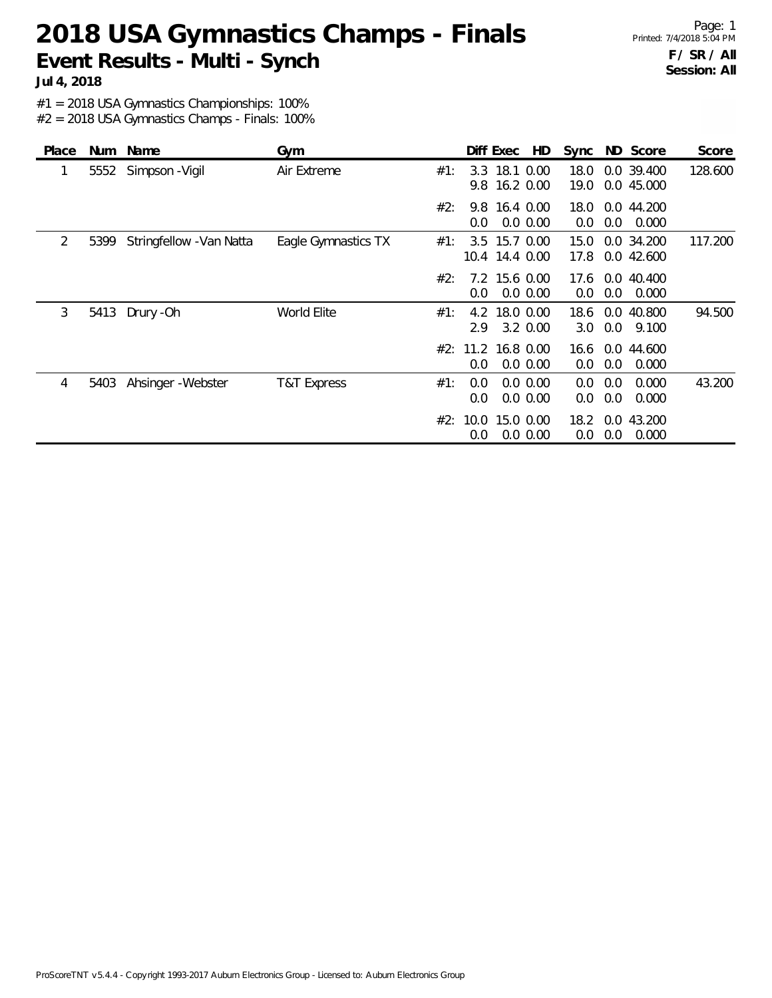# **2018 USA Gymnastics Champs - Finals Event Results - Multi - Synch**

Page: 1 Printed: 7/4/2018 5:04 PM **F / SR / All Session: All**

**Jul 4, 2018**

#1 = 2018 USA Gymnastics Championships: 100%

#2 = 2018 USA Gymnastics Champs - Finals: 100%

| Place |      | Num Name                 | Gym                 |     |             | Diff Exec                       | HD                         | Sync         |            | ND Score                 | Score   |
|-------|------|--------------------------|---------------------|-----|-------------|---------------------------------|----------------------------|--------------|------------|--------------------------|---------|
| 1     | 5552 | Simpson - Vigil          | Air Extreme         | #1: | 3.3         | 18.1 0.00<br>9.8 16.2 0.00      |                            | 18.0<br>19.0 |            | 0.0 39.400<br>0.0 45.000 | 128.600 |
|       |      |                          |                     | #2: | 9.8<br>0.0  | 16.4 0.00                       | 0.0 0.00                   | 18.0<br>0.0  | 0.0        | 0.0 44.200<br>0.000      |         |
| 2     | 5399 | Stringfellow - Van Natta | Eagle Gymnastics TX | #1: |             | 3.5 15.7 0.00<br>10.4 14.4 0.00 |                            | 15.0<br>17.8 |            | 0.0 34.200<br>0.0 42.600 | 117.200 |
|       |      |                          |                     | #2: | 0.0         | 7.2 15.6 0.00                   | $0.0\,0.00$                | 17.6<br>0.0  | 0.0        | 0.0 40.400<br>0.000      |         |
| 3     | 5413 | Drury - Oh               | World Elite         | #1: | 2.9         | 4.2 18.0 0.00                   | 3.2 0.00                   | 18.6<br>3.0  | 0.0        | 0.0 40.800<br>9.100      | 94.500  |
|       |      |                          |                     | #2: | 0.0         | 11.2 16.8 0.00                  | $0.0\,0.00$                | 16.6<br>0.0  | 0.0        | 0.0 44.600<br>0.000      |         |
| 4     | 5403 | Ahsinger - Webster       | T&T Express         | #1: | 0.0<br>0.0  |                                 | $0.0\,0.00$<br>$0.0\,0.00$ | 0.0<br>0.0   | 0.0<br>0.0 | 0.000<br>0.000           | 43.200  |
|       |      |                          |                     | #2: | 10.0<br>0.0 | 15.0 0.00                       | $0.0\ 0.00$                | 18.2<br>0.0  | 0.0        | 0.0 43.200<br>0.000      |         |